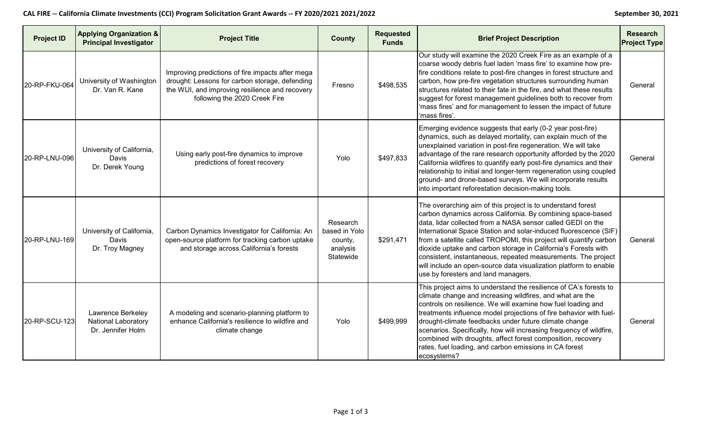## CAL FIRE -- California Climate Investments (CCI) Program Solicitation Grant Awards -- FY 2020/2021 2021/2022

|  |  |  |  | <b>September 30, 2021</b> |  |
|--|--|--|--|---------------------------|--|
|  |  |  |  |                           |  |

| <b>Project ID</b> | <b>Applying Organization &amp;</b><br><b>Principal Investigator</b> | <b>Project Title</b>                                                                                                                                                                  | <b>County</b>                                                 | <b>Requested</b><br><b>Funds</b> | <b>Brief Project Description</b>                                                                                                                                                                                                                                                                                                                                                                                                                                                                                                                                                   | <b>Research</b><br><b>Project Type</b> |
|-------------------|---------------------------------------------------------------------|---------------------------------------------------------------------------------------------------------------------------------------------------------------------------------------|---------------------------------------------------------------|----------------------------------|------------------------------------------------------------------------------------------------------------------------------------------------------------------------------------------------------------------------------------------------------------------------------------------------------------------------------------------------------------------------------------------------------------------------------------------------------------------------------------------------------------------------------------------------------------------------------------|----------------------------------------|
| 20-RP-FKU-064     | University of Washington<br>Dr. Van R. Kane                         | Improving predictions of fire impacts after mega<br>drought: Lessons for carbon storage, defending<br>the WUI, and improving resilience and recovery<br>following the 2020 Creek Fire | Fresno                                                        | \$498,535                        | Our study will examine the 2020 Creek Fire as an example of a<br>coarse woody debris fuel laden 'mass fire' to examine how pre-<br>fire conditions relate to post-fire changes in forest structure and<br>carbon, how pre-fire vegetation structures surrounding human<br>structures related to their fate in the fire, and what these results<br>suggest for forest management guidelines both to recover from<br>'mass fires' and for management to lessen the impact of future<br>'mass fires'.                                                                                 | General                                |
| 20-RP-LNU-096     | University of California,<br>Davis<br>Dr. Derek Young               | Using early post-fire dynamics to improve<br>predictions of forest recovery                                                                                                           | Yolo                                                          | \$497,833                        | Emerging evidence suggests that early (0-2 year post-fire)<br>dynamics, such as delayed mortality, can explain much of the<br>unexplained variation in post-fire regeneration. We will take<br>advantage of the rare research opportunity afforded by the 2020<br>California wildfires to quantify early post-fire dynamics and their<br>relationship to initial and longer-term regeneration using coupled<br>ground- and drone-based surveys. We will incorporate results<br>into important reforestation decision-making tools.                                                 | General                                |
| 20-RP-LNU-169     | University of California,<br>Davis<br>Dr. Troy Magney               | Carbon Dynamics Investigator for California: An<br>open-source platform for tracking carbon uptake<br>and storage across California's forests                                         | Research<br>based in Yolo<br>county,<br>analysis<br>Statewide | \$291,471                        | The overarching aim of this project is to understand forest<br>carbon dynamics across California. By combining space-based<br>data, lidar collected from a NASA sensor called GEDI on the<br>International Space Station and solar-induced fluorescence (SIF)<br>from a satellite called TROPOMI, this project will quantify carbon<br>dioxide uptake and carbon storage in California's Forests with<br>consistent, instantaneous, repeated measurements. The project<br>will include an open-source data visualization platform to enable<br>use by foresters and land managers. | General                                |
| 20-RP-SCU-123     | Lawrence Berkeley<br>National Laboratory<br>Dr. Jennifer Holm       | A modeling and scenario-planning platform to<br>enhance California's resilience to wildfire and<br>climate change                                                                     | Yolo                                                          | \$499,999                        | This project aims to understand the resilience of CA's forests to<br>climate change and increasing wildfires, and what are the<br>controls on resilience. We will examine how fuel loading and<br>treatments influence model projections of fire behavior with fuel-<br>drought-climate feedbacks under future climate change<br>scenarios. Specifically, how will increasing frequency of wildfire,<br>combined with droughts, affect forest composition, recovery<br>rates, fuel loading, and carbon emissions in CA forest<br>ecosystems?                                       | General                                |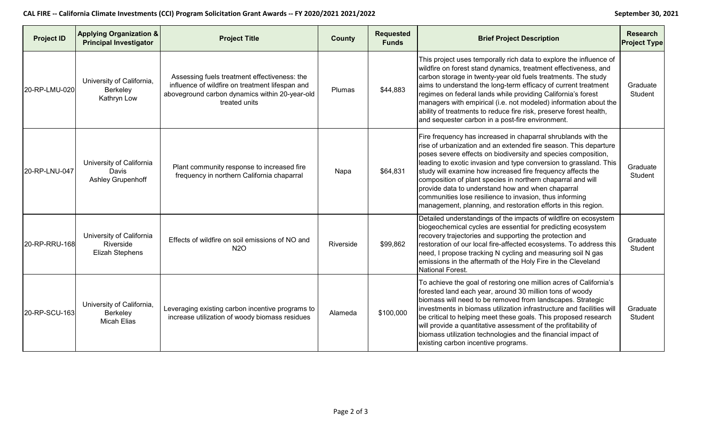## **CAL FIRE -- California Climate Investments (CCI) Program Solicitation Grant Awards -- FY 2020/2021 2021/2022 September 30, 2021**

| September 30, 2 |  |
|-----------------|--|
|                 |  |

| <b>Project ID</b> | <b>Applying Organization &amp;</b><br><b>Principal Investigator</b> | <b>Project Title</b>                                                                                                                                               | <b>County</b> | <b>Requested</b><br><b>Funds</b> | <b>Brief Project Description</b>                                                                                                                                                                                                                                                                                                                                                                                                                                                                                                                                                       | <b>Research</b><br><b>Project Type</b> |
|-------------------|---------------------------------------------------------------------|--------------------------------------------------------------------------------------------------------------------------------------------------------------------|---------------|----------------------------------|----------------------------------------------------------------------------------------------------------------------------------------------------------------------------------------------------------------------------------------------------------------------------------------------------------------------------------------------------------------------------------------------------------------------------------------------------------------------------------------------------------------------------------------------------------------------------------------|----------------------------------------|
| 20-RP-LMU-020     | University of California,<br>Berkeley<br>Kathryn Low                | Assessing fuels treatment effectiveness: the<br>influence of wildfire on treatment lifespan and<br>aboveground carbon dynamics within 20-year-old<br>treated units | Plumas        | \$44,883                         | This project uses temporally rich data to explore the influence of<br>wildfire on forest stand dynamics, treatment effectiveness, and<br>carbon storage in twenty-year old fuels treatments. The study<br>aims to understand the long-term efficacy of current treatment<br>regimes on federal lands while providing California's forest<br>managers with empirical (i.e. not modeled) information about the<br>ability of treatments to reduce fire risk, preserve forest health,<br>and sequester carbon in a post-fire environment.                                                 | Graduate<br>Student                    |
| 20-RP-LNU-047     | University of California<br><b>Davis</b><br>Ashley Grupenhoff       | Plant community response to increased fire<br>frequency in northern California chaparral                                                                           | Napa          | \$64,831                         | Fire frequency has increased in chaparral shrublands with the<br>rise of urbanization and an extended fire season. This departure<br>poses severe effects on biodiversity and species composition,<br>leading to exotic invasion and type conversion to grassland. This<br>study will examine how increased fire frequency affects the<br>composition of plant species in northern chaparral and will<br>provide data to understand how and when chaparral<br>communities lose resilience to invasion, thus informing<br>management, planning, and restoration efforts in this region. | Graduate<br>Student                    |
| 20-RP-RRU-168     | University of California<br>Riverside<br>Elizah Stephens            | Effects of wildfire on soil emissions of NO and<br><b>N2O</b>                                                                                                      | Riverside     | \$99,862                         | Detailed understandings of the impacts of wildfire on ecosystem<br>biogeochemical cycles are essential for predicting ecosystem<br>recovery trajectories and supporting the protection and<br>restoration of our local fire-affected ecosystems. To address this<br>need, I propose tracking N cycling and measuring soil N gas<br>emissions in the aftermath of the Holy Fire in the Cleveland<br><b>National Forest.</b>                                                                                                                                                             | Graduate<br>Student                    |
| 20-RP-SCU-163     | University of California,<br>Berkeley<br><b>Micah Elias</b>         | Leveraging existing carbon incentive programs to<br>increase utilization of woody biomass residues                                                                 | Alameda       | \$100,000                        | To achieve the goal of restoring one million acres of California's<br>forested land each year, around 30 million tons of woody<br>biomass will need to be removed from landscapes. Strategic<br>investments in biomass utilization infrastructure and facilities will<br>be critical to helping meet these goals. This proposed research<br>will provide a quantitative assessment of the profitability of<br>biomass utilization technologies and the financial impact of<br>existing carbon incentive programs.                                                                      | Graduate<br>Student                    |